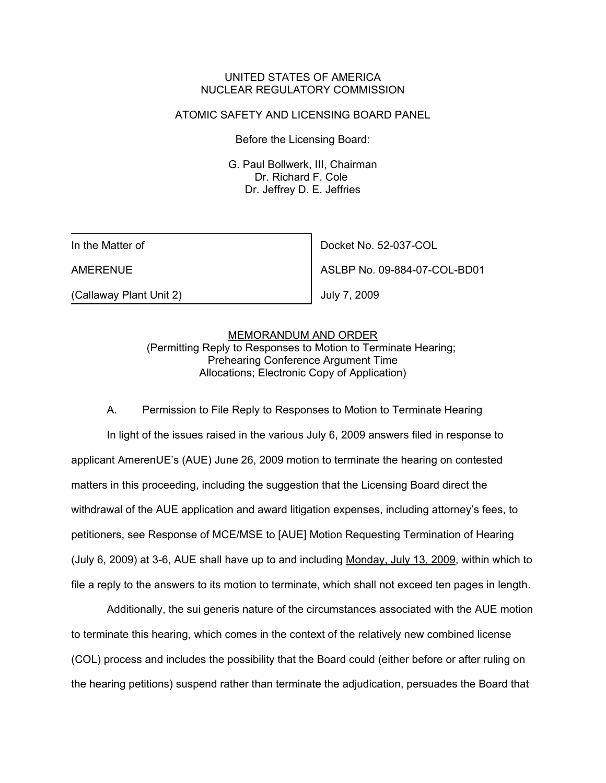## UNITED STATES OF AMERICA NUCLEAR REGULATORY COMMISSION

### ATOMIC SAFETY AND LICENSING BOARD PANEL

Before the Licensing Board:

G. Paul Bollwerk, III, Chairman Dr. Richard F. Cole Dr. Jeffrey D. E. Jeffries

In the Matter of

AMERENUE

(Callaway Plant Unit 2)

Docket No. 52-037-COL

ASLBP No. 09-884-07-COL-BD01

July 7, 2009

#### MEMORANDUM AND ORDER

(Permitting Reply to Responses to Motion to Terminate Hearing; Prehearing Conference Argument Time Allocations; Electronic Copy of Application)

A. Permission to File Reply to Responses to Motion to Terminate Hearing In light of the issues raised in the various July 6, 2009 answers filed in response to applicant AmerenUE's (AUE) June 26, 2009 motion to terminate the hearing on contested matters in this proceeding, including the suggestion that the Licensing Board direct the withdrawal of the AUE application and award litigation expenses, including attorney's fees, to petitioners, see Response of MCE/MSE to [AUE] Motion Requesting Termination of Hearing (July 6, 2009) at 3-6, AUE shall have up to and including Monday, July 13, 2009, within which to file a reply to the answers to its motion to terminate, which shall not exceed ten pages in length.

Additionally, the sui generis nature of the circumstances associated with the AUE motion to terminate this hearing, which comes in the context of the relatively new combined license (COL) process and includes the possibility that the Board could (either before or after ruling on the hearing petitions) suspend rather than terminate the adjudication, persuades the Board that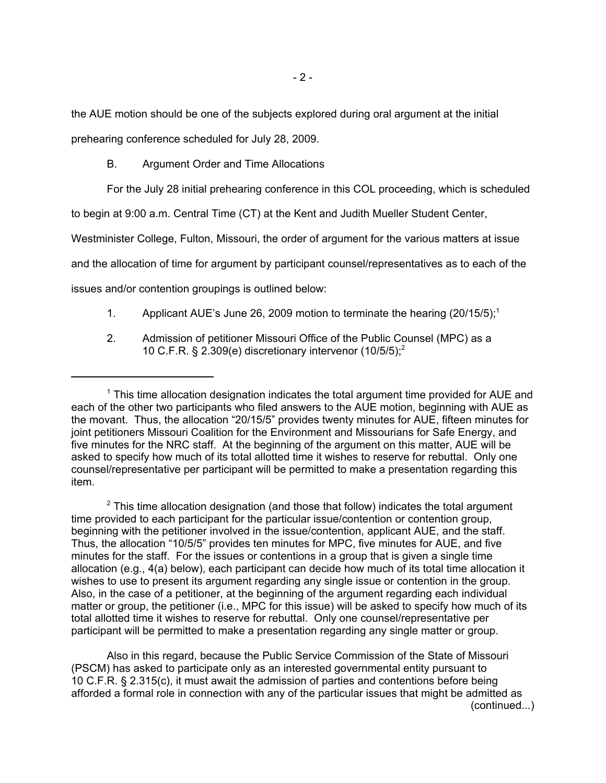the AUE motion should be one of the subjects explored during oral argument at the initial

prehearing conference scheduled for July 28, 2009.

B. Argument Order and Time Allocations

For the July 28 initial prehearing conference in this COL proceeding, which is scheduled

to begin at 9:00 a.m. Central Time (CT) at the Kent and Judith Mueller Student Center,

Westminister College, Fulton, Missouri, the order of argument for the various matters at issue

and the allocation of time for argument by participant counsel/representatives as to each of the

issues and/or contention groupings is outlined below:

- 1. Applicant AUE's June 26, 2009 motion to terminate the hearing  $(20/15/5)$ ;<sup>1</sup>
- 2. Admission of petitioner Missouri Office of the Public Counsel (MPC) as a 10 C.F.R. § 2.309(e) discretionary intervenor  $(10/5/5)$ ;<sup>2</sup>

 $2$  This time allocation designation (and those that follow) indicates the total argument time provided to each participant for the particular issue/contention or contention group, beginning with the petitioner involved in the issue/contention, applicant AUE, and the staff. Thus, the allocation "10/5/5" provides ten minutes for MPC, five minutes for AUE, and five minutes for the staff. For the issues or contentions in a group that is given a single time allocation (e.g., 4(a) below), each participant can decide how much of its total time allocation it wishes to use to present its argument regarding any single issue or contention in the group. Also, in the case of a petitioner, at the beginning of the argument regarding each individual matter or group, the petitioner (i.e., MPC for this issue) will be asked to specify how much of its total allotted time it wishes to reserve for rebuttal. Only one counsel/representative per participant will be permitted to make a presentation regarding any single matter or group.

Also in this regard, because the Public Service Commission of the State of Missouri (PSCM) has asked to participate only as an interested governmental entity pursuant to 10 C.F.R. § 2.315(c), it must await the admission of parties and contentions before being afforded a formal role in connection with any of the particular issues that might be admitted as (continued...)

<sup>&</sup>lt;sup>1</sup> This time allocation designation indicates the total argument time provided for AUE and each of the other two participants who filed answers to the AUE motion, beginning with AUE as the movant. Thus, the allocation "20/15/5" provides twenty minutes for AUE, fifteen minutes for joint petitioners Missouri Coalition for the Environment and Missourians for Safe Energy, and five minutes for the NRC staff. At the beginning of the argument on this matter, AUE will be asked to specify how much of its total allotted time it wishes to reserve for rebuttal. Only one counsel/representative per participant will be permitted to make a presentation regarding this item.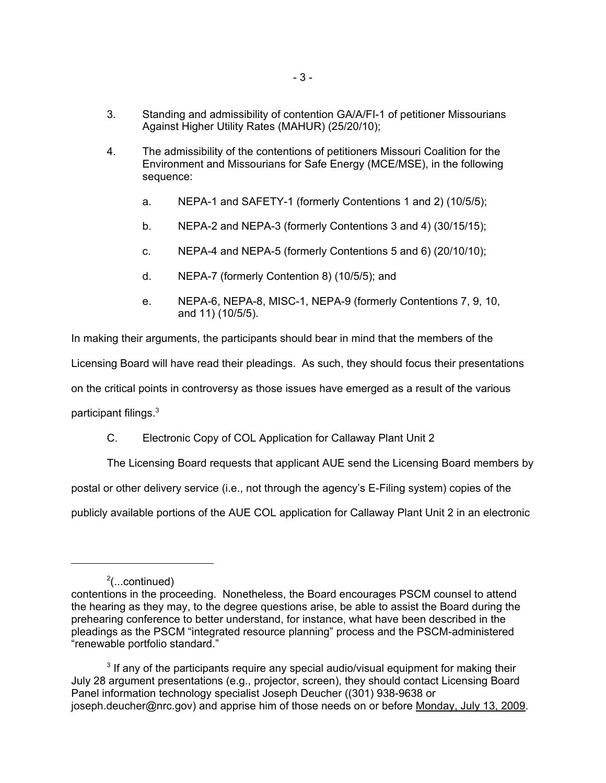- 3. Standing and admissibility of contention GA/A/FI-1 of petitioner Missourians Against Higher Utility Rates (MAHUR) (25/20/10);
- 4. The admissibility of the contentions of petitioners Missouri Coalition for the Environment and Missourians for Safe Energy (MCE/MSE), in the following sequence:
	- a. NEPA-1 and SAFETY-1 (formerly Contentions 1 and 2) (10/5/5);
	- b. NEPA-2 and NEPA-3 (formerly Contentions 3 and 4) (30/15/15);
	- c. NEPA-4 and NEPA-5 (formerly Contentions 5 and 6) (20/10/10);
	- d. NEPA-7 (formerly Contention 8) (10/5/5); and
	- e. NEPA-6, NEPA-8, MISC-1, NEPA-9 (formerly Contentions 7, 9, 10, and 11) (10/5/5).

In making their arguments, the participants should bear in mind that the members of the Licensing Board will have read their pleadings. As such, they should focus their presentations on the critical points in controversy as those issues have emerged as a result of the various participant filings.3

# C. Electronic Copy of COL Application for Callaway Plant Unit 2

The Licensing Board requests that applicant AUE send the Licensing Board members by postal or other delivery service (i.e., not through the agency's E-Filing system) copies of the publicly available portions of the AUE COL application for Callaway Plant Unit 2 in an electronic

<sup>&</sup>lt;sup>2</sup>(...continued)

contentions in the proceeding. Nonetheless, the Board encourages PSCM counsel to attend the hearing as they may, to the degree questions arise, be able to assist the Board during the prehearing conference to better understand, for instance, what have been described in the pleadings as the PSCM "integrated resource planning" process and the PSCM-administered "renewable portfolio standard."

 $3$  If any of the participants require any special audio/visual equipment for making their July 28 argument presentations (e.g., projector, screen), they should contact Licensing Board Panel information technology specialist Joseph Deucher ((301) 938-9638 or joseph.deucher@nrc.gov) and apprise him of those needs on or before Monday, July 13, 2009.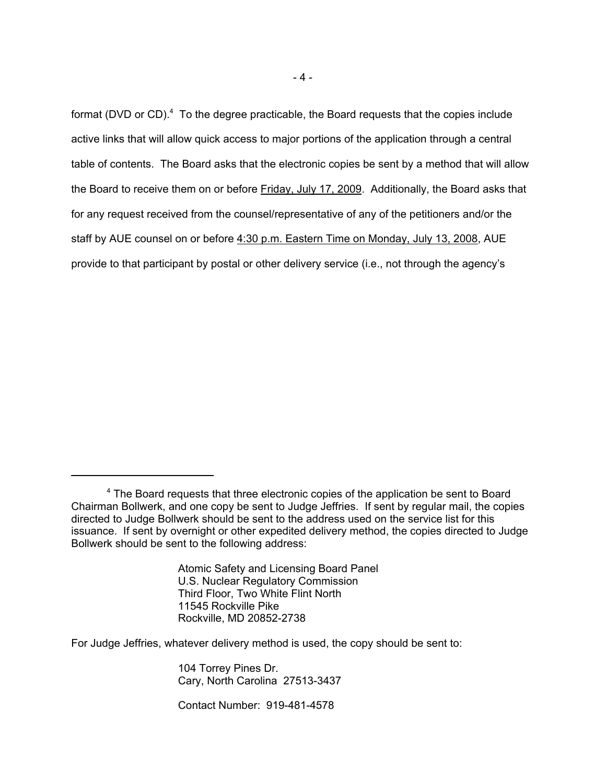format (DVD or CD).<sup>4</sup> To the degree practicable, the Board requests that the copies include active links that will allow quick access to major portions of the application through a central table of contents. The Board asks that the electronic copies be sent by a method that will allow the Board to receive them on or before Friday, July 17, 2009. Additionally, the Board asks that for any request received from the counsel/representative of any of the petitioners and/or the staff by AUE counsel on or before 4:30 p.m. Eastern Time on Monday, July 13, 2008, AUE provide to that participant by postal or other delivery service (i.e., not through the agency's

Atomic Safety and Licensing Board Panel U.S. Nuclear Regulatory Commission Third Floor, Two White Flint North 11545 Rockville Pike Rockville, MD 20852-2738

For Judge Jeffries, whatever delivery method is used, the copy should be sent to:

104 Torrey Pines Dr. Cary, North Carolina 27513-3437

Contact Number: 919-481-4578

<sup>&</sup>lt;sup>4</sup> The Board requests that three electronic copies of the application be sent to Board Chairman Bollwerk, and one copy be sent to Judge Jeffries. If sent by regular mail, the copies directed to Judge Bollwerk should be sent to the address used on the service list for this issuance. If sent by overnight or other expedited delivery method, the copies directed to Judge Bollwerk should be sent to the following address: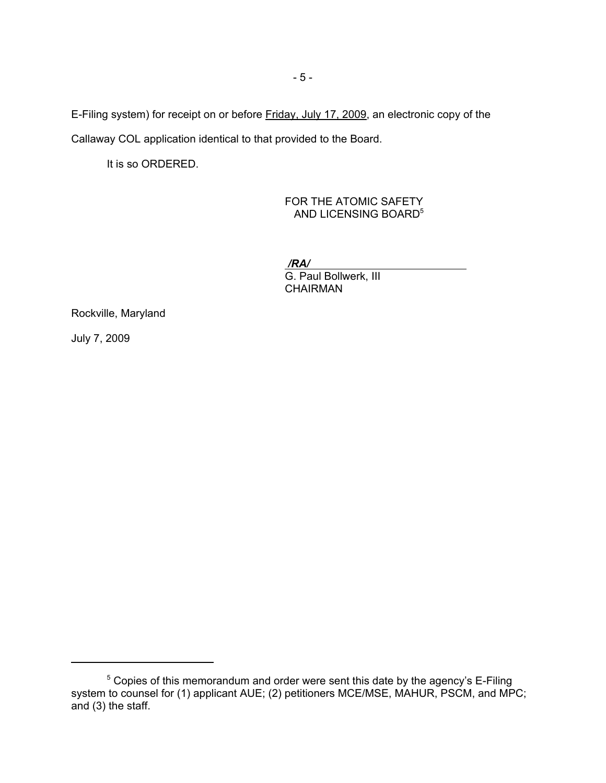E-Filing system) for receipt on or before Friday, July 17, 2009, an electronic copy of the Callaway COL application identical to that provided to the Board.

It is so ORDERED.

FOR THE ATOMIC SAFETY AND LICENSING BOARD<sup>5</sup>

*/RA/*  G. Paul Bollwerk, III **CHAIRMAN** 

Rockville, Maryland

July 7, 2009

<sup>&</sup>lt;sup>5</sup> Copies of this memorandum and order were sent this date by the agency's E-Filing system to counsel for (1) applicant AUE; (2) petitioners MCE/MSE, MAHUR, PSCM, and MPC; and (3) the staff.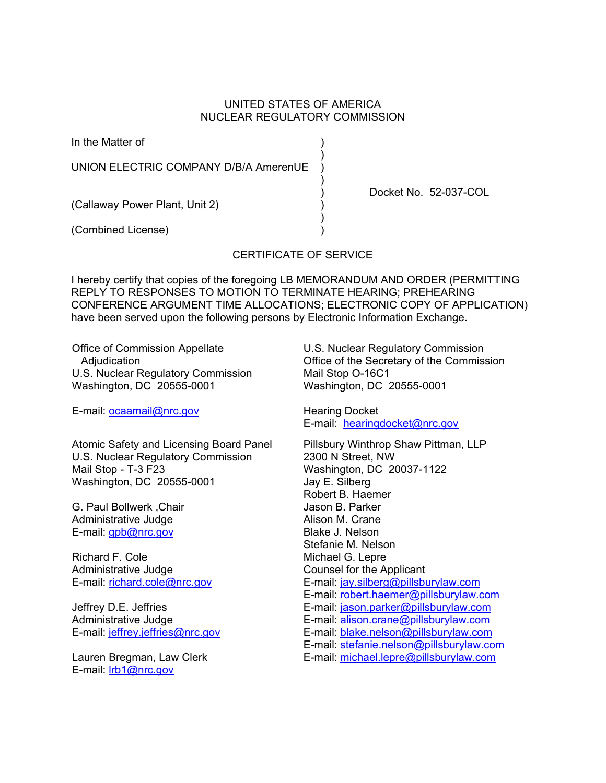## UNITED STATES OF AMERICA NUCLEAR REGULATORY COMMISSION

In the Matter of )

UNION ELECTRIC COMPANY D/B/A AmerenUE

) and the contract of  $\mathcal{L}$ 

 $)$ 

(Callaway Power Plant, Unit 2) )

 $)$ (Combined License) )

## CERTIFICATE OF SERVICE

I hereby certify that copies of the foregoing LB MEMORANDUM AND ORDER (PERMITTING REPLY TO RESPONSES TO MOTION TO TERMINATE HEARING; PREHEARING CONFERENCE ARGUMENT TIME ALLOCATIONS; ELECTRONIC COPY OF APPLICATION) have been served upon the following persons by Electronic Information Exchange.

Office of Commission Appellate Adjudication U.S. Nuclear Regulatory Commission Washington, DC 20555-0001

E-mail: ocaamail@nrc.gov

Atomic Safety and Licensing Board Panel U.S. Nuclear Regulatory Commission Mail Stop - T-3 F23 Washington, DC 20555-0001

G. Paul Bollwerk ,Chair Administrative Judge E-mail: gpb@nrc.gov

Richard F. Cole Administrative Judge E-mail: richard.cole@nrc.gov

Jeffrey D.E. Jeffries Administrative Judge E-mail: jeffrey.jeffries@nrc.gov

Lauren Bregman, Law Clerk E-mail: lrb1@nrc.gov

U.S. Nuclear Regulatory Commission Office of the Secretary of the Commission Mail Stop O-16C1 Washington, DC 20555-0001

Docket No. 52-037-COL

Hearing Docket E-mail: hearingdocket@nrc.gov

Pillsbury Winthrop Shaw Pittman, LLP 2300 N Street, NW Washington, DC 20037-1122 Jay E. Silberg Robert B. Haemer Jason B. Parker Alison M. Crane Blake J. Nelson Stefanie M. Nelson Michael G. Lepre Counsel for the Applicant E-mail: jay.silberg@pillsburylaw.com E-mail: robert.haemer@pillsburylaw.com E-mail: jason.parker@pillsburylaw.com E-mail: alison.crane@pillsburylaw.com E-mail: blake.nelson@pillsburylaw.com E-mail: stefanie.nelson@pillsburylaw.com E-mail: michael.lepre@pillsburylaw.com